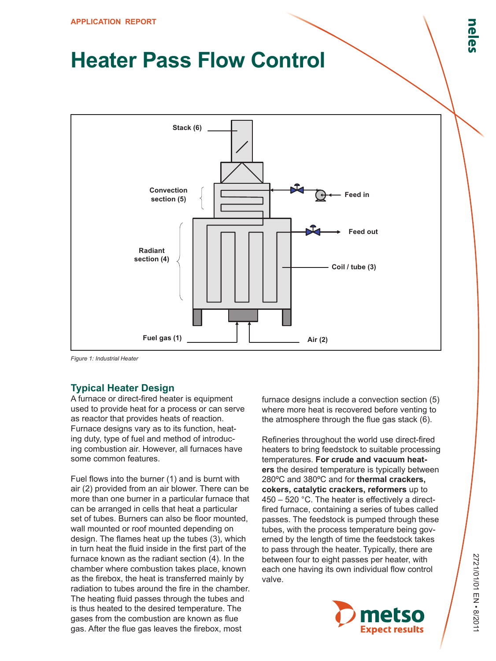# **Heater Pass Flow Control**



*Figure 1: Industrial Heater*

#### **Typical Heater Design**

A furnace or direct-fired heater is equipment used to provide heat for a process or can serve as reactor that provides heats of reaction. Furnace designs vary as to its function, heating duty, type of fuel and method of introducing combustion air. However, all furnaces have some common features.

Fuel flows into the burner (1) and is burnt with air (2) provided from an air blower. There can be more than one burner in a particular furnace that can be arranged in cells that heat a particular set of tubes. Burners can also be floor mounted, wall mounted or roof mounted depending on design. The flames heat up the tubes (3), which in turn heat the fluid inside in the first part of the furnace known as the radiant section (4). In the chamber where combustion takes place, known as the firebox, the heat is transferred mainly by radiation to tubes around the fire in the chamber. The heating fluid passes through the tubes and is thus heated to the desired temperature. The gases from the combustion are known as flue gas. After the flue gas leaves the firebox, most

furnace designs include a convection section (5) where more heat is recovered before venting to the atmosphere through the flue gas stack (6).

Refineries throughout the world use direct-fired heaters to bring feedstock to suitable processing temperatures. **For crude and vacuum heaters** the desired temperature is typically between 280ºC and 380ºC and for **thermal crackers, cokers, catalytic crackers, reformers** up to 450 – 520 °C. The heater is effectively a directfired furnace, containing a series of tubes called passes. The feedstock is pumped through these tubes, with the process temperature being governed by the length of time the feedstock takes to pass through the heater. Typically, there are between four to eight passes per heater, with each one having its own individual flow control valve.

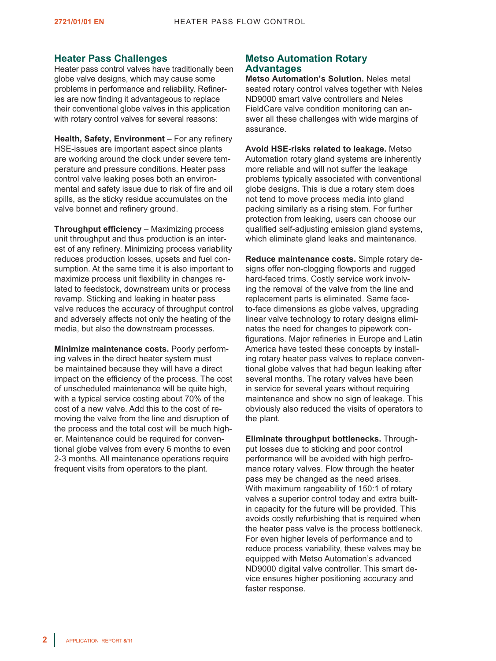#### **Heater Pass Challenges**

Heater pass control valves have traditionally been globe valve designs, which may cause some problems in performance and reliability. Refineries are now finding it advantageous to replace their conventional globe valves in this application with rotary control valves for several reasons:

**Health, Safety, Environment** – For any refinery HSE-issues are important aspect since plants are working around the clock under severe temperature and pressure conditions. Heater pass control valve leaking poses both an environmental and safety issue due to risk of fire and oil spills, as the sticky residue accumulates on the valve bonnet and refinery ground.

**Throughput efficiency** – Maximizing process unit throughput and thus production is an interest of any refinery. Minimizing process variability reduces production losses, upsets and fuel consumption. At the same time it is also important to maximize process unit flexibility in changes related to feedstock, downstream units or process revamp. Sticking and leaking in heater pass valve reduces the accuracy of throughput control and adversely affects not only the heating of the media, but also the downstream processes.

**Minimize maintenance costs.** Poorly performing valves in the direct heater system must be maintained because they will have a direct impact on the efficiency of the process. The cost of unscheduled maintenance will be quite high, with a typical service costing about 70% of the cost of a new valve. Add this to the cost of removing the valve from the line and disruption of the process and the total cost will be much higher. Maintenance could be required for conventional globe valves from every 6 months to even 2-3 months. All maintenance operations require frequent visits from operators to the plant.

#### **Metso Automation Rotary Advantages**

**Metso Automation's Solution.** Neles metal seated rotary control valves together with Neles ND9000 smart valve controllers and Neles FieldCare valve condition monitoring can answer all these challenges with wide margins of assurance.

**Avoid HSE-risks related to leakage.** Metso Automation rotary gland systems are inherently more reliable and will not suffer the leakage problems typically associated with conventional globe designs. This is due a rotary stem does not tend to move process media into gland packing similarly as a rising stem. For further protection from leaking, users can choose our qualified self-adjusting emission gland systems, which eliminate gland leaks and maintenance.

**Reduce maintenance costs.** Simple rotary designs offer non-clogging flowports and rugged hard-faced trims. Costly service work involving the removal of the valve from the line and replacement parts is eliminated. Same faceto-face dimensions as globe valves, upgrading linear valve technology to rotary designs eliminates the need for changes to pipework configurations. Major refineries in Europe and Latin America have tested these concepts by installing rotary heater pass valves to replace conventional globe valves that had begun leaking after several months. The rotary valves have been in service for several years without requiring maintenance and show no sign of leakage. This obviously also reduced the visits of operators to the plant.

**Eliminate throughput bottlenecks.** Throughput losses due to sticking and poor control performance will be avoided with high perfromance rotary valves. Flow through the heater pass may be changed as the need arises. With maximum rangeability of 150:1 of rotary valves a superior control today and extra builtin capacity for the future will be provided. This avoids costly refurbishing that is required when the heater pass valve is the process bottleneck. For even higher levels of performance and to reduce process variability, these valves may be equipped with Metso Automation's advanced ND9000 digital valve controller. This smart device ensures higher positioning accuracy and faster response.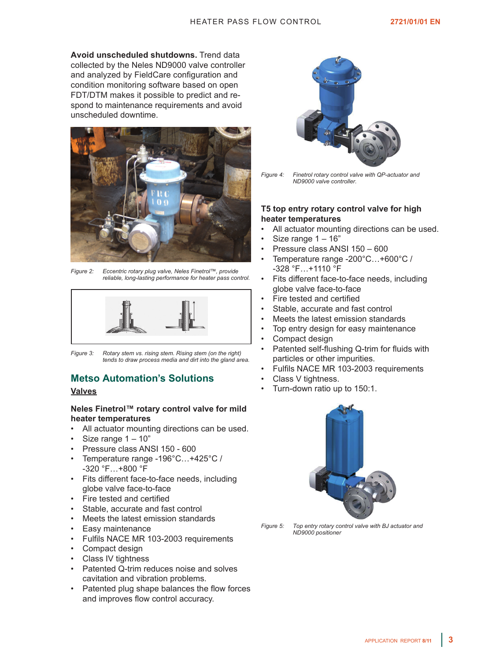**Avoid unscheduled shutdowns.** Trend data collected by the Neles ND9000 valve controller and analyzed by FieldCare configuration and condition monitoring software based on open FDT/DTM makes it possible to predict and respond to maintenance requirements and avoid unscheduled downtime.



*Figure 2: Eccentric rotary plug valve, Neles Finetrol™, provide reliable, long-lasting performance for heater pass control.*



*Figure 3: Rotary stem vs. rising stem. Rising stem (on the right) tends to draw process media and dirt into the gland area.*

# **Metso Automation's Solutions**

#### **Valves**

#### **Neles Finetrol™ rotary control valve for mild heater temperatures**

- All actuator mounting directions can be used.
- Size range  $1 10$ "
- Pressure class ANSI 150 600
- Temperature range -196°C...+425°C / -320 °F…+800 °F
- Fits different face-to-face needs, including globe valve face-to-face
- Fire tested and certified
- Stable, accurate and fast control
- Meets the latest emission standards
- Easy maintenance
- Fulfils NACE MR 103-2003 requirements
- Compact design
- Class IV tightness
- Patented Q-trim reduces noise and solves cavitation and vibration problems.
- Patented plug shape balances the flow forces and improves flow control accuracy.



*Figure 4: Finetrol rotary control valve with QP-actuator and ND9000 valve controller.*

#### **T5 top entry rotary control valve for high heater temperatures**

- All actuator mounting directions can be used.
- Size range  $1 16$ "
- Pressure class ANSI 150 600
- Temperature range -200°C...+600°C / -328 °F…+1110 °F
- Fits different face-to-face needs, including globe valve face-to-face
- Fire tested and certified
- Stable, accurate and fast control
- Meets the latest emission standards
- Top entry design for easy maintenance
- Compact design
- Patented self-flushing Q-trim for fluids with particles or other impurities.
- Fulfils NACE MR 103-2003 requirements
- Class V tightness.
- Turn-down ratio up to 150:1.



*Figure 5: Top entry rotary control valve with BJ actuator and ND9000 positioner*